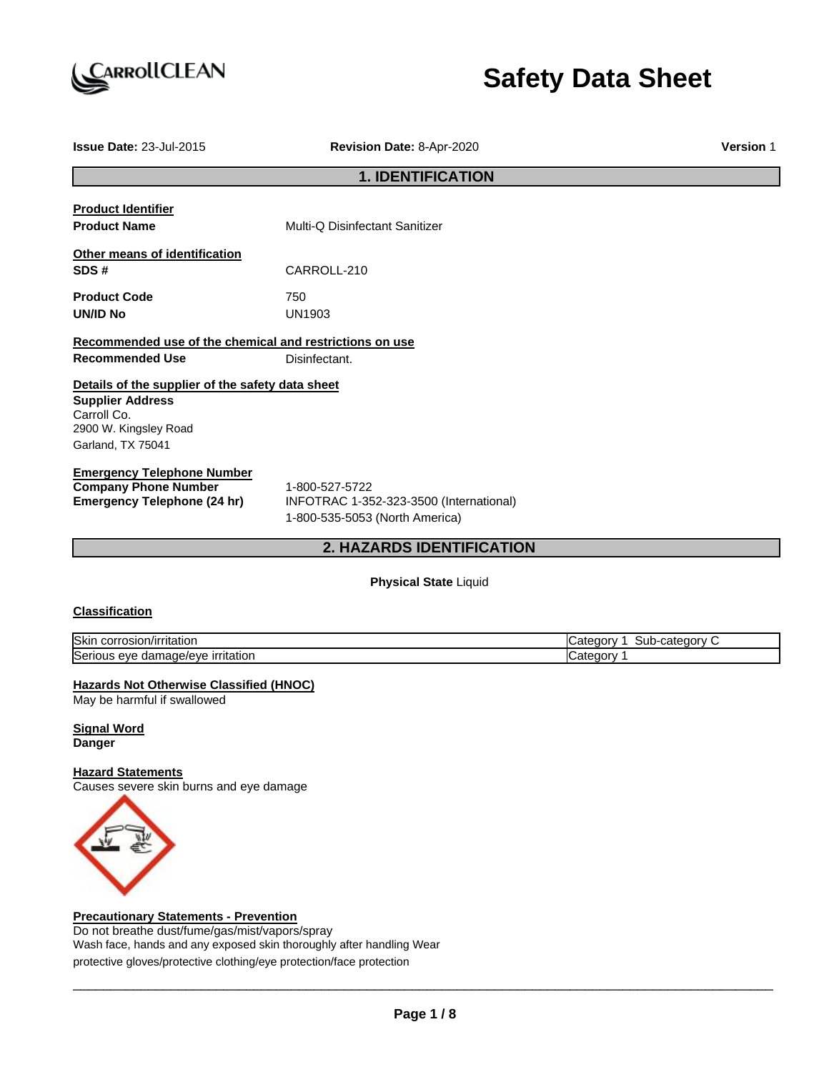

# **Safety Data Sheet**

| <b>Issue Date: 23-Jul-2015</b>                                                                                                           | Revision Date: 8-Apr-2020                                                                   | <b>Version 1</b> |  |  |  |
|------------------------------------------------------------------------------------------------------------------------------------------|---------------------------------------------------------------------------------------------|------------------|--|--|--|
|                                                                                                                                          | <b>1. IDENTIFICATION</b>                                                                    |                  |  |  |  |
| <b>Product Identifier</b><br><b>Product Name</b>                                                                                         | Multi-Q Disinfectant Sanitizer                                                              |                  |  |  |  |
| Other means of identification<br>SDS#                                                                                                    | CARROLL-210                                                                                 |                  |  |  |  |
| <b>Product Code</b><br><b>UN/ID No</b>                                                                                                   | 750<br><b>UN1903</b>                                                                        |                  |  |  |  |
| Recommended use of the chemical and restrictions on use<br><b>Recommended Use</b>                                                        | Disinfectant.                                                                               |                  |  |  |  |
| Details of the supplier of the safety data sheet<br><b>Supplier Address</b><br>Carroll Co.<br>2900 W. Kingsley Road<br>Garland, TX 75041 |                                                                                             |                  |  |  |  |
| <b>Emergency Telephone Number</b><br><b>Company Phone Number</b><br><b>Emergency Telephone (24 hr)</b>                                   | 1-800-527-5722<br>INFOTRAC 1-352-323-3500 (International)<br>1-800-535-5053 (North America) |                  |  |  |  |

# **2. HAZARDS IDENTIFICATION**

# **Physical State** Liquid

#### **Classification**

| <b>Skir</b><br><b>CONFOCION</b><br>Mrritatior<br>.osion/irr<br>JOLL, | $\sim$ $\sim$ $\sim$ $\sim$<br>oorv^<br>$\sim$<br>- דר<br>udler:<br>эuւ |
|----------------------------------------------------------------------|-------------------------------------------------------------------------|
| ∽<br><u>irritation</u><br><b>ISerious</b><br>nade/eve<br>eve<br>dar  | *≏gorv<br>n÷,<br>Ualt                                                   |

#### **Hazards Not Otherwise Classified (HNOC)**

May be harmful if swallowed

**Signal Word Danger**

#### **Hazard Statements**

Causes severe skin burns and eye damage



# **Precautionary Statements - Prevention**

Do not breathe dust/fume/gas/mist/vapors/spray Wash face, hands and any exposed skin thoroughly after handling Wear protective gloves/protective clothing/eye protection/face protection

\_\_\_\_\_\_\_\_\_\_\_\_\_\_\_\_\_\_\_\_\_\_\_\_\_\_\_\_\_\_\_\_\_\_\_\_\_\_\_\_\_\_\_\_\_\_\_\_\_\_\_\_\_\_\_\_\_\_\_\_\_\_\_\_\_\_\_\_\_\_\_\_\_\_\_\_\_\_\_\_\_\_\_\_\_\_\_\_\_\_\_\_\_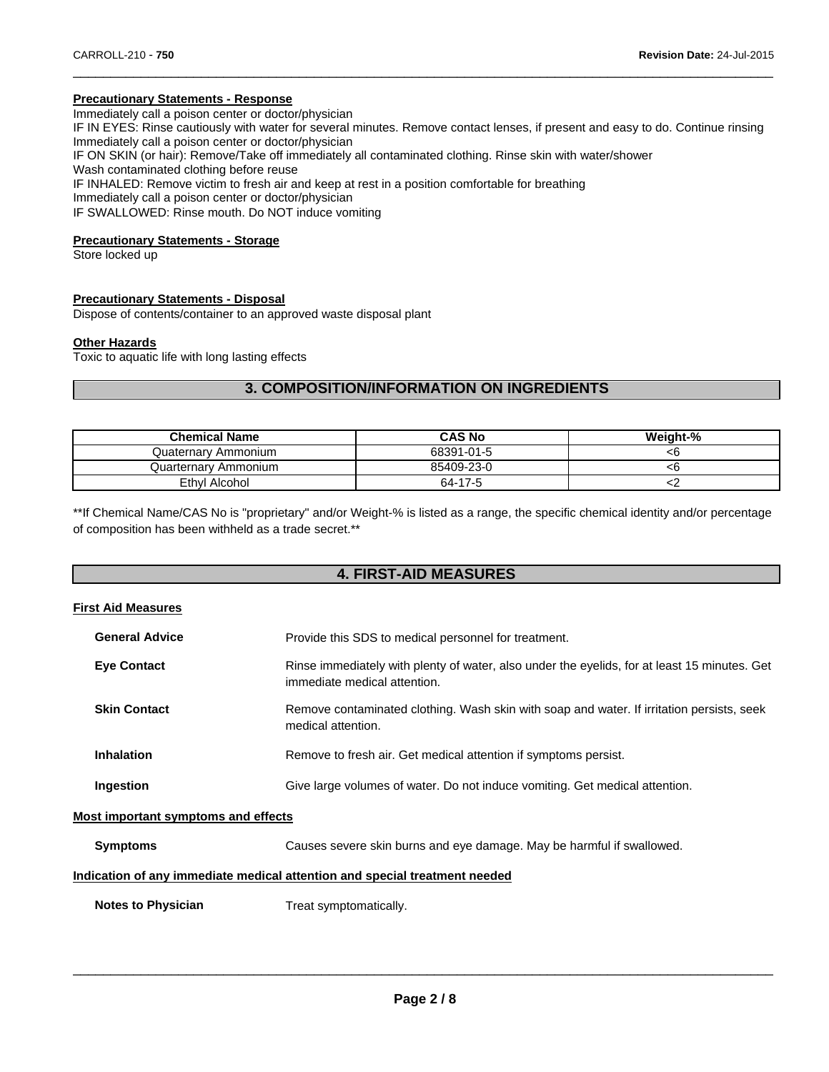#### **Precautionary Statements - Response**

Immediately call a poison center or doctor/physician

IF IN EYES: Rinse cautiously with water for several minutes. Remove contact lenses, if present and easy to do. Continue rinsing Immediately call a poison center or doctor/physician

 $\Box$ 

IF ON SKIN (or hair): Remove/Take off immediately all contaminated clothing. Rinse skin with water/shower

Wash contaminated clothing before reuse

IF INHALED: Remove victim to fresh air and keep at rest in a position comfortable for breathing

Immediately call a poison center or doctor/physician

IF SWALLOWED: Rinse mouth. Do NOT induce vomiting

#### **Precautionary Statements - Storage**

Store locked up

#### **Precautionary Statements - Disposal**

Dispose of contents/container to an approved waste disposal plant

#### **Other Hazards**

Toxic to aquatic life with long lasting effects

# **3. COMPOSITION/INFORMATION ON INGREDIENTS**

| <b>Chemical Name</b> | <b>CAS No</b> | Weight-% |
|----------------------|---------------|----------|
| Quaternary Ammonium  | 68391-01-5    |          |
| Quarternary Ammonium | 85409-23-0    |          |
| Ethyl Alcohol        | 64-17-5       |          |

\*\*If Chemical Name/CAS No is "proprietary" and/or Weight-% is listed as a range, the specific chemical identity and/or percentage of composition has been withheld as a trade secret.\*\*

# **4. FIRST-AID MEASURES**

#### **First Aid Measures**

| <b>General Advice</b> | Provide this SDS to medical personnel for treatment.                                                                         |
|-----------------------|------------------------------------------------------------------------------------------------------------------------------|
| <b>Eye Contact</b>    | Rinse immediately with plenty of water, also under the eyelids, for at least 15 minutes. Get<br>immediate medical attention. |
| <b>Skin Contact</b>   | Remove contaminated clothing. Wash skin with soap and water. If irritation persists, seek<br>medical attention.              |
| <b>Inhalation</b>     | Remove to fresh air. Get medical attention if symptoms persist.                                                              |
| Ingestion             | Give large volumes of water. Do not induce vomiting. Get medical attention.                                                  |
|                       |                                                                                                                              |

#### **Most important symptoms and effects**

**Symptoms** Causes severe skin burns and eye damage. May be harmful if swallowed.

#### **Indication of any immediate medical attention and special treatment needed**

**Notes to Physician** Treat symptomatically.

\_\_\_\_\_\_\_\_\_\_\_\_\_\_\_\_\_\_\_\_\_\_\_\_\_\_\_\_\_\_\_\_\_\_\_\_\_\_\_\_\_\_\_\_\_\_\_\_\_\_\_\_\_\_\_\_\_\_\_\_\_\_\_\_\_\_\_\_\_\_\_\_\_\_\_\_\_\_\_\_\_\_\_\_\_\_\_\_\_\_\_\_\_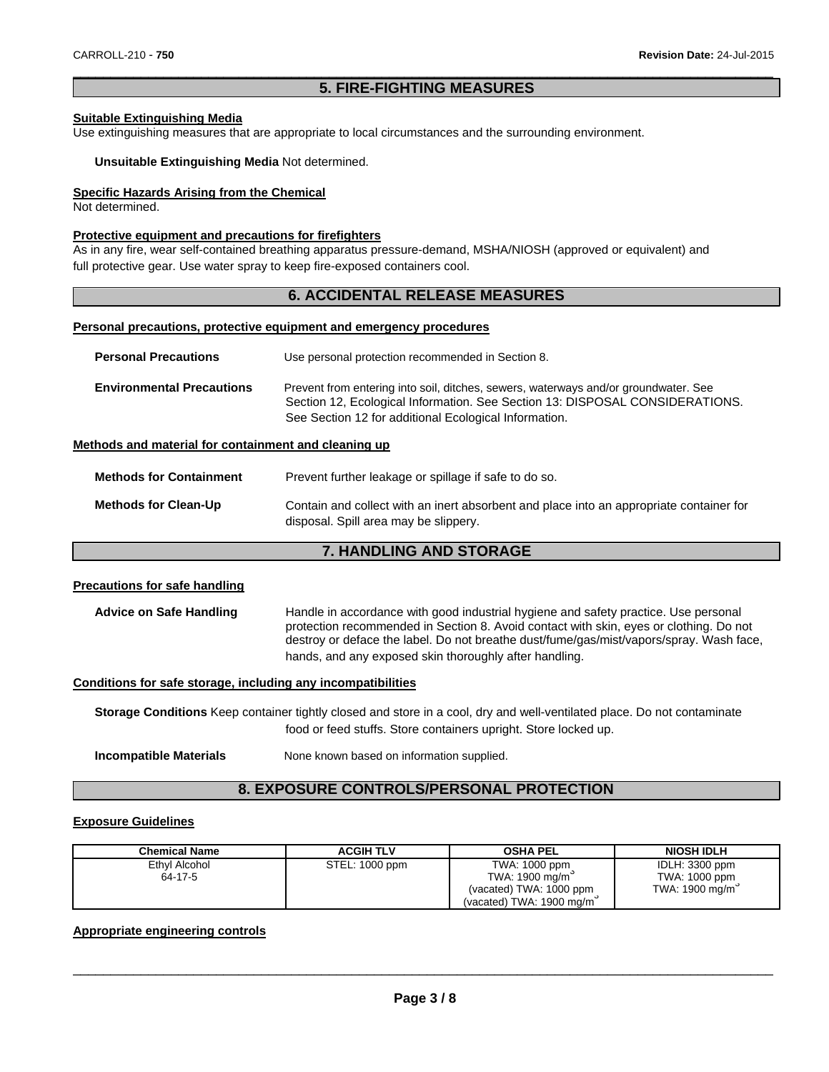### $\Box$ **5. FIRE-FIGHTING MEASURES**

#### **Suitable Extinguishing Media**

Use extinguishing measures that are appropriate to local circumstances and the surrounding environment.

#### **Unsuitable Extinguishing Media** Not determined.

#### **Specific Hazards Arising from the Chemical**

Not determined.

#### **Protective equipment and precautions for firefighters**

As in any fire, wear self-contained breathing apparatus pressure-demand, MSHA/NIOSH (approved or equivalent) and full protective gear. Use water spray to keep fire-exposed containers cool.

# **6. ACCIDENTAL RELEASE MEASURES**

#### **Personal precautions, protective equipment and emergency procedures**

| <b>Personal Precautions</b>      | Use personal protection recommended in Section 8.                                                                                                                                                                            |  |
|----------------------------------|------------------------------------------------------------------------------------------------------------------------------------------------------------------------------------------------------------------------------|--|
| <b>Environmental Precautions</b> | Prevent from entering into soil, ditches, sewers, waterways and/or groundwater. See<br>Section 12, Ecological Information. See Section 13: DISPOSAL CONSIDERATIONS.<br>See Section 12 for additional Ecological Information. |  |

#### **Methods and material for containment and cleaning up**

| <b>Methods for Containment</b> | Prevent further leakage or spillage if safe to do so.                                                                            |
|--------------------------------|----------------------------------------------------------------------------------------------------------------------------------|
| <b>Methods for Clean-Up</b>    | Contain and collect with an inert absorbent and place into an appropriate container for<br>disposal. Spill area may be slippery. |

# **7. HANDLING AND STORAGE**

#### **Precautions for safe handling**

| <b>Advice on Safe Handling</b> | Handle in accordance with good industrial hygiene and safety practice. Use personal<br>protection recommended in Section 8. Avoid contact with skin, eyes or clothing. Do not |
|--------------------------------|-------------------------------------------------------------------------------------------------------------------------------------------------------------------------------|
|                                | destroy or deface the label. Do not breathe dust/fume/gas/mist/vapors/spray. Wash face,<br>hands, and any exposed skin thoroughly after handling.                             |

#### **Conditions for safe storage, including any incompatibilities**

**Storage Conditions** Keep container tightly closed and store in a cool, dry and well-ventilated place. Do not contaminate food or feed stuffs. Store containers upright. Store locked up.

**Incompatible Materials** None known based on information supplied.

# **8. EXPOSURE CONTROLS/PERSONAL PROTECTION**

#### **Exposure Guidelines**

| <b>Chemical Name</b>     | <b>ACGIH TLV</b> | <b>OSHA PEL</b>                                                                        | <b>NIOSH IDLH</b>                                 |
|--------------------------|------------------|----------------------------------------------------------------------------------------|---------------------------------------------------|
| Ethyl Alcohol<br>64-17-5 | STEL: 1000 ppm   | TWA: 1000 ppm<br>TWA: 1900 mg/m<br>(vacated) TWA: 1000 ppm<br>(vacated) TWA: 1900 mg/m | IDLH: 3300 ppm<br>TWA: 1000 ppm<br>TWA: 1900 mg/m |

#### **Appropriate engineering controls**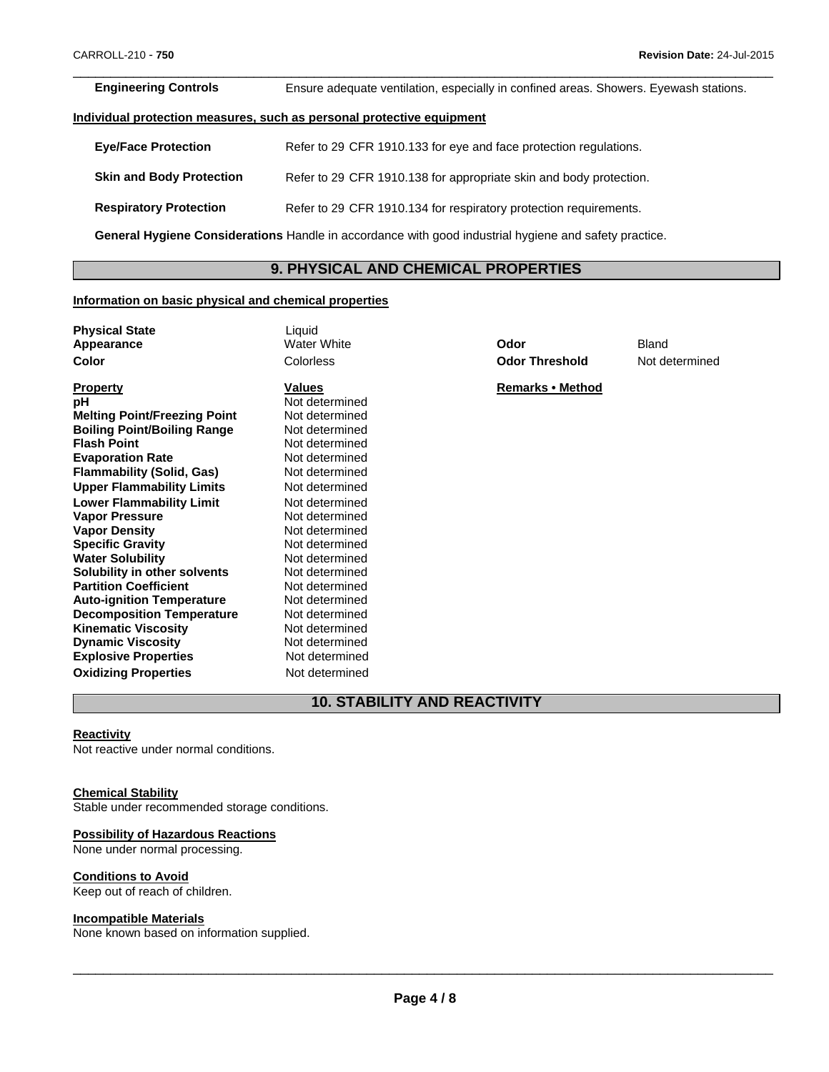$\Box$ **Engineering Controls** Ensure adequate ventilation, especially in confined areas. Showers. Eyewash stations.

#### **Individual protection measures, such as personal protective equipment**

| <b>Eye/Face Protection</b>                                                                            | Refer to 29 CFR 1910.133 for eye and face protection regulations.  |  |
|-------------------------------------------------------------------------------------------------------|--------------------------------------------------------------------|--|
| <b>Skin and Body Protection</b>                                                                       | Refer to 29 CFR 1910.138 for appropriate skin and body protection. |  |
| <b>Respiratory Protection</b>                                                                         | Refer to 29 CFR 1910.134 for respiratory protection requirements.  |  |
| General Hygiene Considerations Handle in accordance with good industrial hygiene and safety practice. |                                                                    |  |

# **9. PHYSICAL AND CHEMICAL PROPERTIES**

#### **Information on basic physical and chemical properties**

| <b>Physical State</b>               | Liquid             |                       |                |
|-------------------------------------|--------------------|-----------------------|----------------|
| Appearance                          | <b>Water White</b> | Odor                  | <b>Bland</b>   |
| Color                               | Colorless          | <b>Odor Threshold</b> | Not determined |
| <b>Property</b>                     | Values             | Remarks • Method      |                |
| рH                                  | Not determined     |                       |                |
| <b>Melting Point/Freezing Point</b> | Not determined     |                       |                |
| <b>Boiling Point/Boiling Range</b>  | Not determined     |                       |                |
| <b>Flash Point</b>                  | Not determined     |                       |                |
| <b>Evaporation Rate</b>             | Not determined     |                       |                |
| <b>Flammability (Solid, Gas)</b>    | Not determined     |                       |                |
| <b>Upper Flammability Limits</b>    | Not determined     |                       |                |
| <b>Lower Flammability Limit</b>     | Not determined     |                       |                |
| <b>Vapor Pressure</b>               | Not determined     |                       |                |
| <b>Vapor Density</b>                | Not determined     |                       |                |
| <b>Specific Gravity</b>             | Not determined     |                       |                |
| <b>Water Solubility</b>             | Not determined     |                       |                |
| Solubility in other solvents        | Not determined     |                       |                |
| <b>Partition Coefficient</b>        | Not determined     |                       |                |
| <b>Auto-ignition Temperature</b>    | Not determined     |                       |                |
| <b>Decomposition Temperature</b>    | Not determined     |                       |                |
| <b>Kinematic Viscosity</b>          | Not determined     |                       |                |
| <b>Dynamic Viscosity</b>            | Not determined     |                       |                |
| <b>Explosive Properties</b>         | Not determined     |                       |                |

# **10. STABILITY AND REACTIVITY**

# **Reactivity**

Not reactive under normal conditions.

#### **Chemical Stability**

Stable under recommended storage conditions.

**Oxidizing Properties** Not determined

#### **Possibility of Hazardous Reactions**

None under normal processing.

#### **Conditions to Avoid**

Keep out of reach of children.

#### **Incompatible Materials**

None known based on information supplied.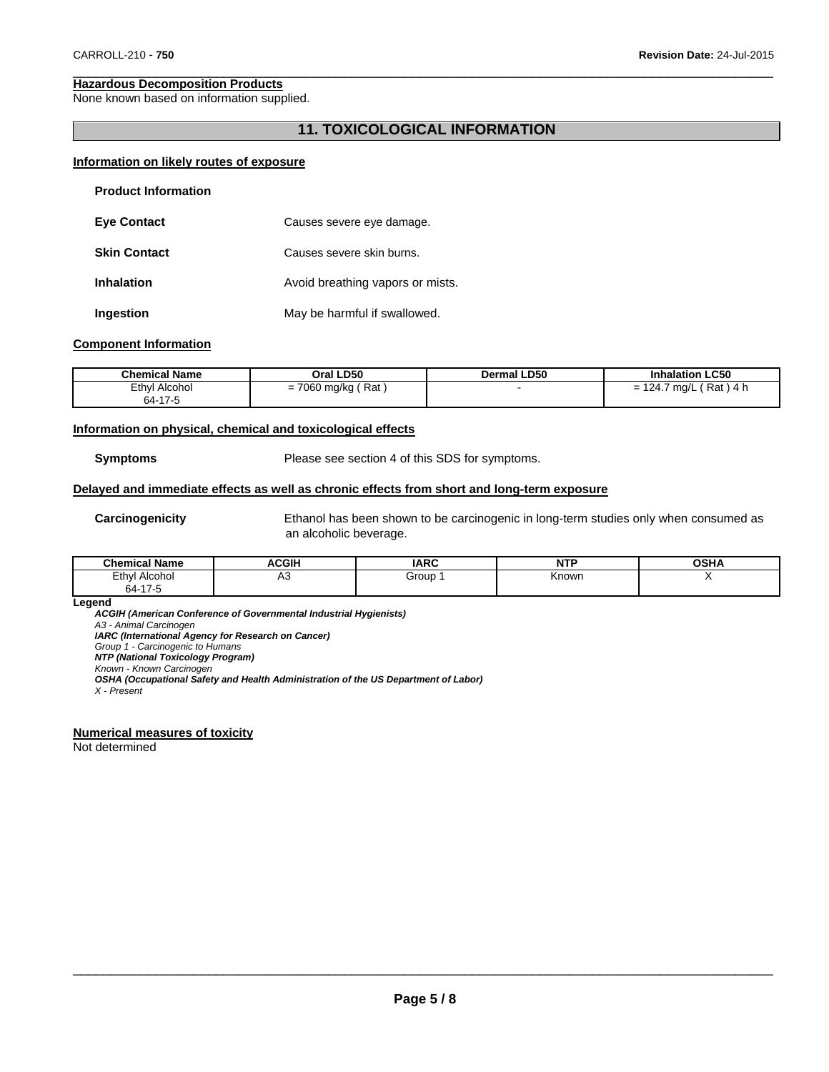#### **Hazardous Decomposition Products**

None known based on information supplied.

# **11. TOXICOLOGICAL INFORMATION**

 $\Box$ 

#### **Information on likely routes of exposure**

| <b>Product Information</b> |                                  |
|----------------------------|----------------------------------|
| <b>Eye Contact</b>         | Causes severe eye damage.        |
| <b>Skin Contact</b>        | Causes severe skin burns.        |
| <b>Inhalation</b>          | Avoid breathing vapors or mists. |
| Ingestion                  | May be harmful if swallowed.     |

#### **Component Information**

| <b>Chemical Name</b> | Oral LD50               | <b>Dermal LD50</b> | <b>Inhalation LC50</b>     |
|----------------------|-------------------------|--------------------|----------------------------|
| Ethyl Alcohol        | 7060 mg/kg (<br>. Rat ' |                    | 「Rat)4 h<br>$= 124.7$ mg/L |
| 64-17-5              |                         |                    |                            |

#### **Information on physical, chemical and toxicological effects**

**Symptoms** Please see section 4 of this SDS for symptoms.

#### **Delayed and immediate effects as well as chronic effects from short and long-term exposure**

**Carcinogenicity** Ethanol has been shown to be carcinogenic in long-term studies only when consumed as an alcoholic beverage.

| ' Name<br><b>Chemical</b> | <b>ACGIF</b> | <b>IARC</b>  | NTC   | 00111 |
|---------------------------|--------------|--------------|-------|-------|
| Ethy!<br>Alcohol<br>.     | ⊶            | Group<br>- - | Knowr |       |
| $\rightarrow$<br>64-′     |              |              |       |       |

**Legend**

*ACGIH (American Conference of Governmental Industrial Hygienists) A3 - Animal Carcinogen IARC (International Agency for Research on Cancer) Group 1 - Carcinogenic to Humans NTP (National Toxicology Program) Known - Known Carcinogen OSHA (Occupational Safety and Health Administration of the US Department of Labor)*

#### **Numerical measures of toxicity**

Not determined

*X - Present*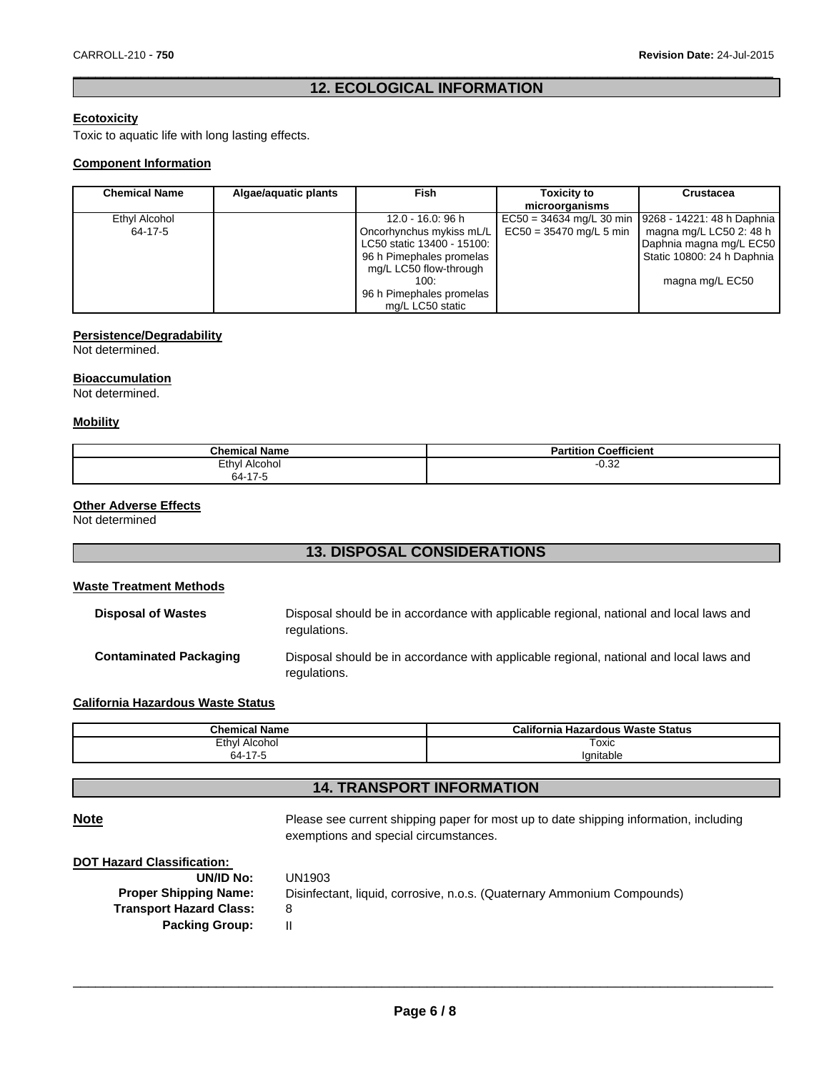# $\Box$ **12. ECOLOGICAL INFORMATION**

# **Ecotoxicity**

Toxic to aquatic life with long lasting effects.

#### **Component Information**

| <b>Chemical Name</b> | Algae/aquatic plants | Fish                       | <b>Toxicity to</b>        | <b>Crustacea</b>                                     |
|----------------------|----------------------|----------------------------|---------------------------|------------------------------------------------------|
|                      |                      |                            | microorganisms            |                                                      |
| Ethyl Alcohol        |                      | 12.0 - 16.0: 96 h          |                           | EC50 = 34634 mg/L 30 min 19268 - 14221: 48 h Daphnia |
| 64-17-5              |                      | Oncorhynchus mykiss mL/L   | $EC50 = 35470$ mg/L 5 min | magna mg/L LC50 2: 48 h                              |
|                      |                      | LC50 static 13400 - 15100: |                           | Daphnia magna mg/L EC50                              |
|                      |                      | 96 h Pimephales promelas   |                           | Static 10800: 24 h Daphnia                           |
|                      |                      | mg/L LC50 flow-through     |                           |                                                      |
|                      |                      | 100:                       |                           | magna mg/L EC50                                      |
|                      |                      | 96 h Pimephales promelas   |                           |                                                      |
|                      |                      | mg/L LC50 static           |                           |                                                      |

#### **Persistence/Degradability**

Not determined.

#### **Bioaccumulation**

Not determined.

#### **Mobility**

| <b>Chemical Name</b>                                     | <br>$\sim$<br>Coefficient<br>Partition |
|----------------------------------------------------------|----------------------------------------|
| Ethyl<br>Alcohol<br>$.47$ $-$<br>$\sim$ $\lambda$<br>h4- | $-0.32$                                |

## **Other Adverse Effects**

Not determined

# **13. DISPOSAL CONSIDERATIONS**

#### **Waste Treatment Methods**

| <b>Disposal of Wastes</b>     | Disposal should be in accordance with applicable regional, national and local laws and<br>regulations. |
|-------------------------------|--------------------------------------------------------------------------------------------------------|
| <b>Contaminated Packaging</b> | Disposal should be in accordance with applicable regional, national and local laws and<br>regulations. |

# **California Hazardous Waste Status**

| <b>Chemical Name</b> | California<br>ı Hazardous Waste Status |
|----------------------|----------------------------------------|
| Ethyl<br>Alcohol     | ⊺oxic                                  |
| 0.117<br>nд-<br>. .  | Ignitable                              |

# **14. TRANSPORT INFORMATION**

**Note** Please see current shipping paper for most up to date shipping information, including exemptions and special circumstances.

|  | <b>DOT Hazard Classification:</b> |
|--|-----------------------------------|
|  |                                   |

| UN/ID No:                      | UN1903                                                                  |
|--------------------------------|-------------------------------------------------------------------------|
| <b>Proper Shipping Name:</b>   | Disinfectant, liquid, corrosive, n.o.s. (Quaternary Ammonium Compounds) |
| <b>Transport Hazard Class:</b> | 8                                                                       |
| <b>Packing Group:</b>          |                                                                         |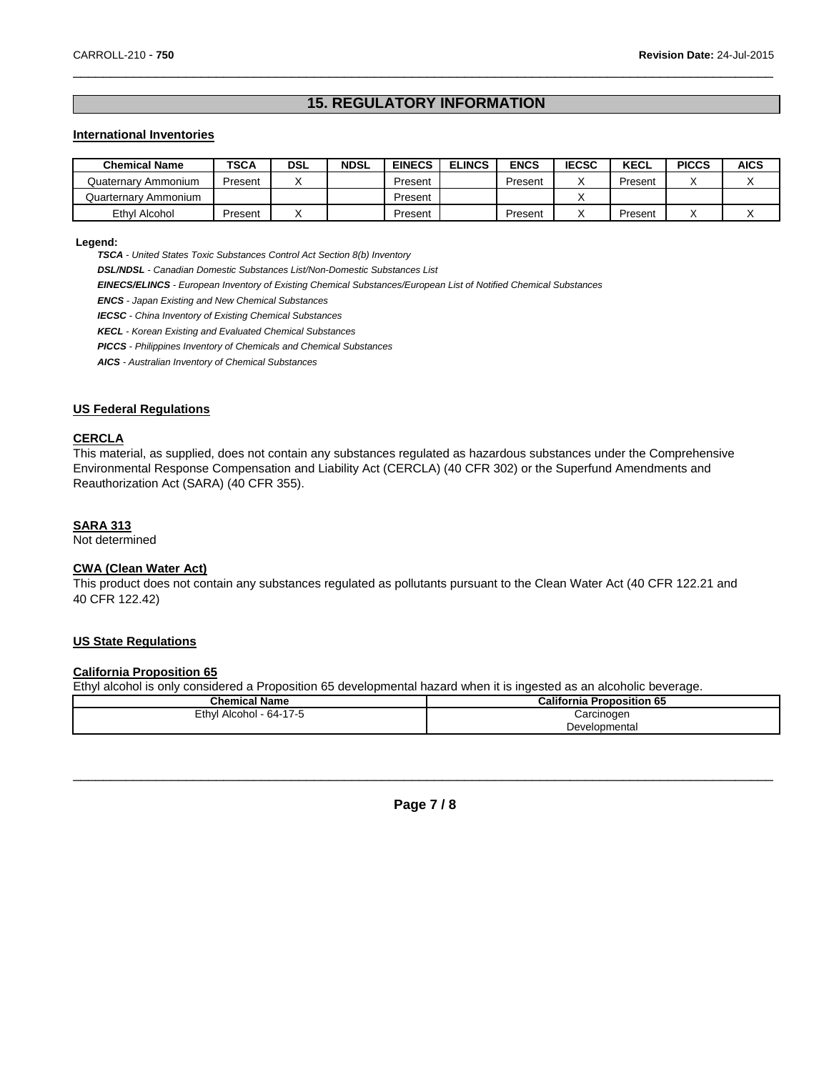# **15. REGULATORY INFORMATION**

 $\Box$ 

#### **International Inventories**

| <b>Chemical Name</b> | TSCA    | <b>DSL</b> | <b>NDSL</b> | <b>EINECS</b> | <b>ELINCS</b> | <b>ENCS</b> | <b>IECSC</b> | <b>KECL</b> | <b>PICCS</b> | <b>AICS</b> |
|----------------------|---------|------------|-------------|---------------|---------------|-------------|--------------|-------------|--------------|-------------|
| Quaternary Ammonium  | Present |            |             | Present       |               | Present     |              | Present     |              |             |
| Quarternary Ammonium |         |            |             | Present       |               |             |              |             |              |             |
| Ethyl Alcohol        | Present |            |             | Present       |               | Present     |              | Present     |              |             |

#### **Legend:**

*TSCA - United States Toxic Substances Control Act Section 8(b) Inventory*

*DSL/NDSL - Canadian Domestic Substances List/Non-Domestic Substances List*

*EINECS/ELINCS - European Inventory of Existing Chemical Substances/European List of Notified Chemical Substances*

*ENCS - Japan Existing and New Chemical Substances*

*IECSC - China Inventory of Existing Chemical Substances*

*KECL - Korean Existing and Evaluated Chemical Substances*

*PICCS - Philippines Inventory of Chemicals and Chemical Substances*

*AICS - Australian Inventory of Chemical Substances*

#### **US Federal Regulations**

#### **CERCLA**

This material, as supplied, does not contain any substances regulated as hazardous substances under the Comprehensive Environmental Response Compensation and Liability Act (CERCLA) (40 CFR 302) or the Superfund Amendments and Reauthorization Act (SARA) (40 CFR 355).

#### **SARA 313**

Not determined

## **CWA (Clean Water Act)**

This product does not contain any substances regulated as pollutants pursuant to the Clean Water Act (40 CFR 122.21 and 40 CFR 122.42)

#### **US State Regulations**

#### **California Proposition 65**

Ethyl alcohol is only considered a Proposition 65 developmental hazard when it is ingested as an alcoholic beverage.

| <b>Chemical Name</b>    | <b>California Proposition 65</b> |
|-------------------------|----------------------------------|
| Ethyl Alcohol - 64-17-5 | Carcinogen                       |
|                         | Developmental                    |



 $\overline{\phantom{a}}$  ,  $\overline{\phantom{a}}$  ,  $\overline{\phantom{a}}$  ,  $\overline{\phantom{a}}$  ,  $\overline{\phantom{a}}$  ,  $\overline{\phantom{a}}$  ,  $\overline{\phantom{a}}$  ,  $\overline{\phantom{a}}$  ,  $\overline{\phantom{a}}$  ,  $\overline{\phantom{a}}$  ,  $\overline{\phantom{a}}$  ,  $\overline{\phantom{a}}$  ,  $\overline{\phantom{a}}$  ,  $\overline{\phantom{a}}$  ,  $\overline{\phantom{a}}$  ,  $\overline{\phantom{a}}$